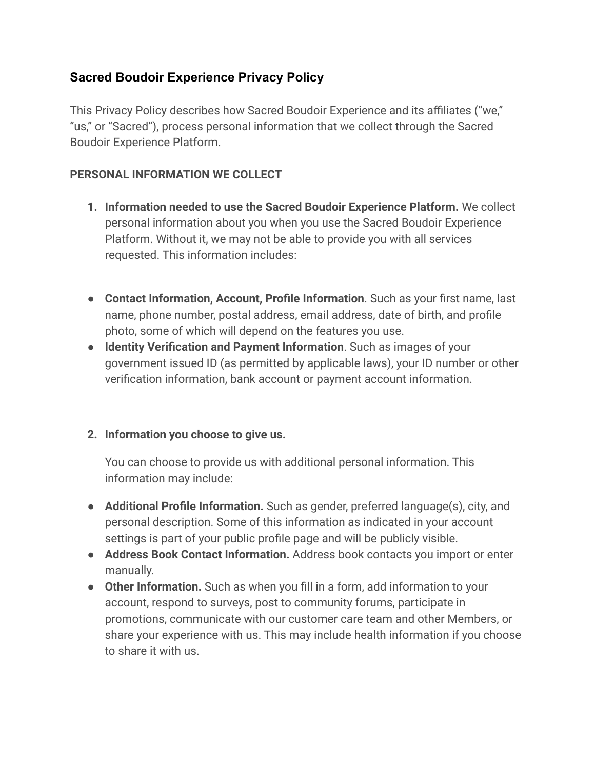# **Sacred Boudoir Experience Privacy Policy**

This Privacy Policy describes how Sacred Boudoir Experience and its affiliates ("we," "us," or "Sacred"), process personal information that we collect through the Sacred Boudoir Experience Platform.

#### **PERSONAL INFORMATION WE COLLECT**

- **1. Information needed to use the Sacred Boudoir Experience Platform.** We collect personal information about you when you use the Sacred Boudoir Experience Platform. Without it, we may not be able to provide you with all services requested. This information includes:
- **Contact Information, Account, Profile Information**. Such as your first name, last name, phone number, postal address, email address, date of birth, and profile photo, some of which will depend on the features you use.
- **Identity Verification and Payment Information**. Such as images of your government issued ID (as permitted by applicable laws), your ID number or other verification information, bank account or payment account information.

### **2. Information you choose to give us.**

You can choose to provide us with additional personal information. This information may include:

- **● Additional Profile Information.** Such as gender, preferred language(s), city, and personal description. Some of this information as indicated in your account settings is part of your public profile page and will be publicly visible.
- **● Address Book Contact Information.** Address book contacts you import or enter manually.
- **● Other Information.** Such as when you fill in a form, add information to your account, respond to surveys, post to community forums, participate in promotions, communicate with our customer care team and other Members, or share your experience with us. This may include health information if you choose to share it with us.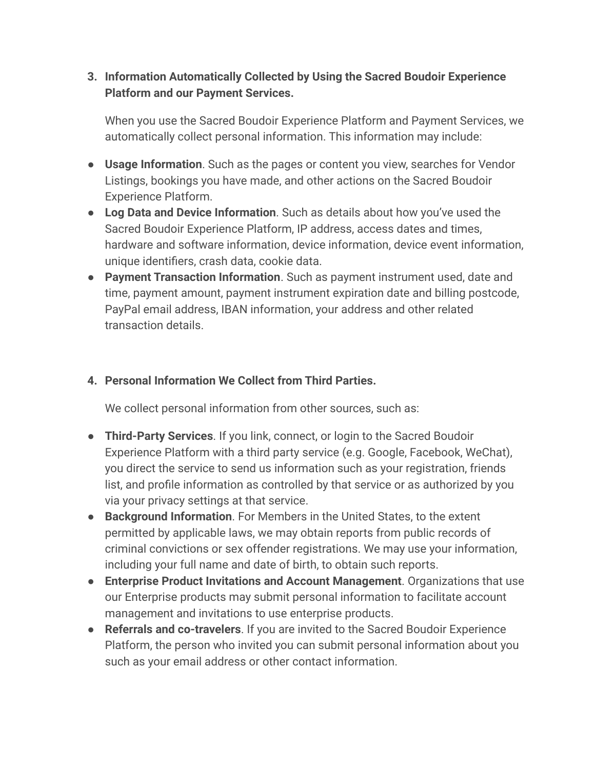## **3. Information Automatically Collected by Using the Sacred Boudoir Experience Platform and our Payment Services.**

When you use the Sacred Boudoir Experience Platform and Payment Services, we automatically collect personal information. This information may include:

- **Usage Information**. Such as the pages or content you view, searches for Vendor Listings, bookings you have made, and other actions on the Sacred Boudoir Experience Platform.
- **Log Data and Device Information**. Such as details about how you've used the Sacred Boudoir Experience Platform, IP address, access dates and times, hardware and software information, device information, device event information, unique identifiers, crash data, cookie data.
- **Payment Transaction Information**. Such as payment instrument used, date and time, payment amount, payment instrument expiration date and billing postcode, PayPal email address, IBAN information, your address and other related transaction details.

# **4. Personal Information We Collect from Third Parties.**

We collect personal information from other sources, such as:

- **Third-Party Services**. If you link, connect, or login to the Sacred Boudoir Experience Platform with a third party service (e.g. Google, Facebook, WeChat), you direct the service to send us information such as your registration, friends list, and profile information as controlled by that service or as authorized by you via your privacy settings at that service.
- **Background Information**. For Members in the United States, to the extent permitted by applicable laws, we may obtain reports from public records of criminal convictions or sex offender registrations. We may use your information, including your full name and date of birth, to obtain such reports.
- **Enterprise Product Invitations and Account Management**. Organizations that use our Enterprise products may submit personal information to facilitate account management and invitations to use enterprise products.
- **Referrals and co-travelers**. If you are invited to the Sacred Boudoir Experience Platform, the person who invited you can submit personal information about you such as your email address or other contact information.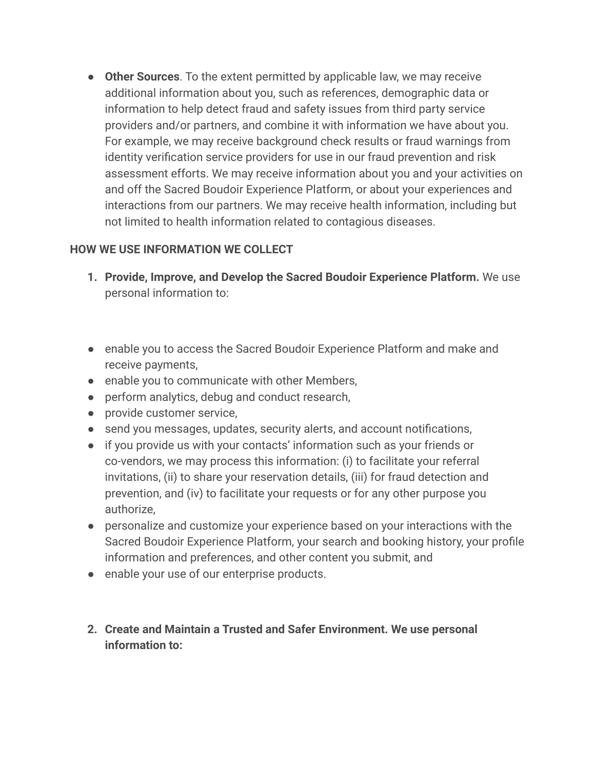● **Other Sources**. To the extent permitted by applicable law, we may receive additional information about you, such as references, demographic data or information to help detect fraud and safety issues from third party service providers and/or partners, and combine it with information we have about you. For example, we may receive background check results or fraud warnings from identity verification service providers for use in our fraud prevention and risk assessment efforts. We may receive information about you and your activities on and off the Sacred Boudoir Experience Platform, or about your experiences and interactions from our partners. We may receive health information, including but not limited to health information related to contagious diseases.

### **HOW WE USE INFORMATION WE COLLECT**

- **1. Provide, Improve, and Develop the Sacred Boudoir Experience Platform.** We use personal information to:
- enable you to access the Sacred Boudoir Experience Platform and make and receive payments,
- enable you to communicate with other Members,
- perform analytics, debug and conduct research,
- provide customer service,
- send you messages, updates, security alerts, and account notifications,
- if you provide us with your contacts' information such as your friends or co-vendors, we may process this information: (i) to facilitate your referral invitations, (ii) to share your reservation details, (iii) for fraud detection and prevention, and (iv) to facilitate your requests or for any other purpose you authorize,
- personalize and customize your experience based on your interactions with the Sacred Boudoir Experience Platform, your search and booking history, your profile information and preferences, and other content you submit, and
- enable your use of our enterprise products.
- **2. Create and Maintain a Trusted and Safer Environment. We use personal information to:**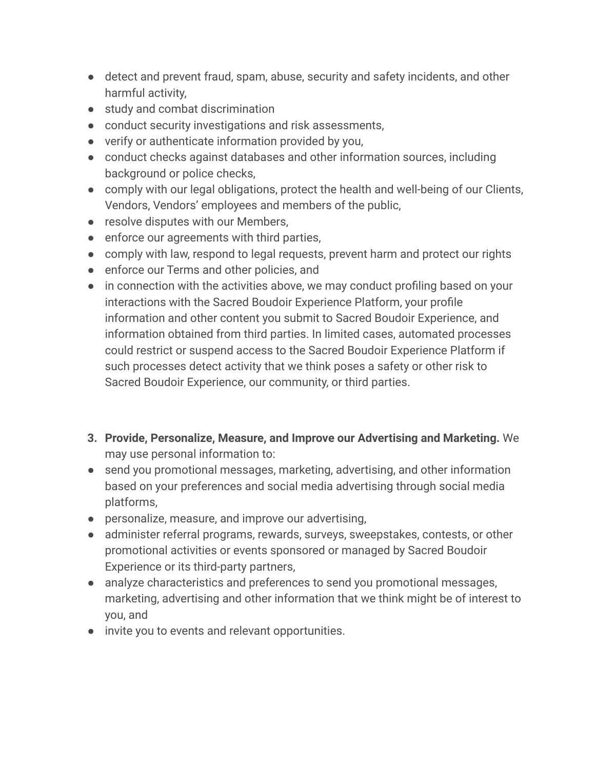- detect and prevent fraud, spam, abuse, security and safety incidents, and other harmful activity,
- study and combat discrimination
- conduct security investigations and risk assessments,
- verify or authenticate information provided by you,
- conduct checks against databases and other information sources, including background or police checks,
- comply with our legal obligations, protect the health and well-being of our Clients, Vendors, Vendors' employees and members of the public,
- resolve disputes with our Members,
- enforce our agreements with third parties,
- comply with law, respond to legal requests, prevent harm and protect our rights
- enforce our Terms and other policies, and
- in connection with the activities above, we may conduct profiling based on your interactions with the Sacred Boudoir Experience Platform, your profile information and other content you submit to Sacred Boudoir Experience, and information obtained from third parties. In limited cases, automated processes could restrict or suspend access to the Sacred Boudoir Experience Platform if such processes detect activity that we think poses a safety or other risk to Sacred Boudoir Experience, our community, or third parties.
- **3. Provide, Personalize, Measure, and Improve our Advertising and Marketing.** We may use personal information to:
- send you promotional messages, marketing, advertising, and other information based on your preferences and social media advertising through social media platforms,
- personalize, measure, and improve our advertising,
- administer referral programs, rewards, surveys, sweepstakes, contests, or other promotional activities or events sponsored or managed by Sacred Boudoir Experience or its third-party partners,
- analyze characteristics and preferences to send you promotional messages, marketing, advertising and other information that we think might be of interest to you, and
- invite you to events and relevant opportunities.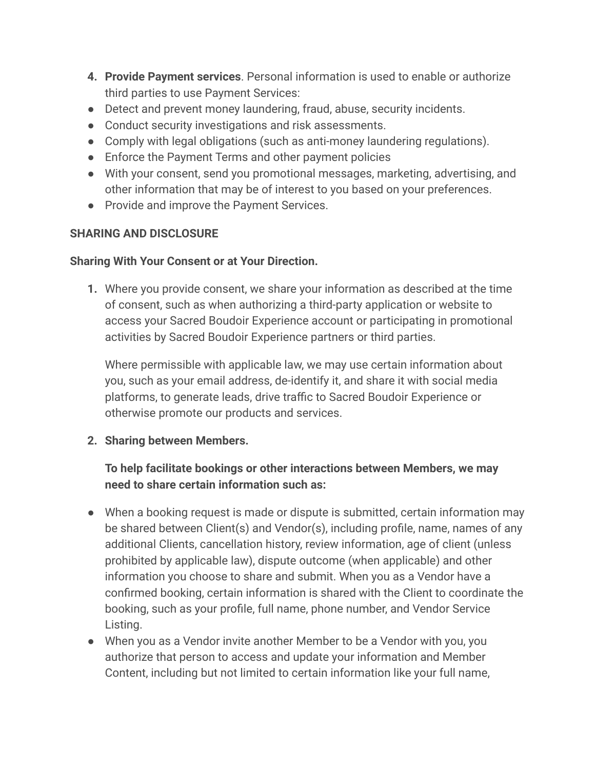- **4. Provide Payment services**. Personal information is used to enable or authorize third parties to use Payment Services:
- Detect and prevent money laundering, fraud, abuse, security incidents.
- Conduct security investigations and risk assessments.
- Comply with legal obligations (such as anti-money laundering regulations).
- Enforce the Payment Terms and other payment policies
- With your consent, send you promotional messages, marketing, advertising, and other information that may be of interest to you based on your preferences.
- Provide and improve the Payment Services.

## **SHARING AND DISCLOSURE**

#### **Sharing With Your Consent or at Your Direction.**

**1.** Where you provide consent, we share your information as described at the time of consent, such as when authorizing a third-party application or website to access your Sacred Boudoir Experience account or participating in promotional activities by Sacred Boudoir Experience partners or third parties.

Where permissible with applicable law, we may use certain information about you, such as your email address, de-identify it, and share it with social media platforms, to generate leads, drive traffic to Sacred Boudoir Experience or otherwise promote our products and services.

### **2. Sharing between Members.**

## **To help facilitate bookings or other interactions between Members, we may need to share certain information such as:**

- When a booking request is made or dispute is submitted, certain information may be shared between Client(s) and Vendor(s), including profile, name, names of any additional Clients, cancellation history, review information, age of client (unless prohibited by applicable law), dispute outcome (when applicable) and other information you choose to share and submit. When you as a Vendor have a confirmed booking, certain information is shared with the Client to coordinate the booking, such as your profile, full name, phone number, and Vendor Service Listing.
- When you as a Vendor invite another Member to be a Vendor with you, you authorize that person to access and update your information and Member Content, including but not limited to certain information like your full name,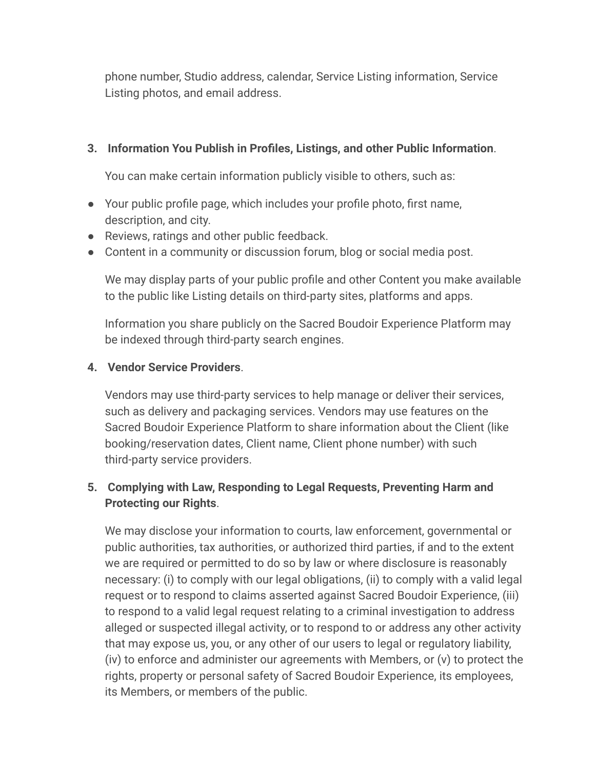phone number, Studio address, calendar, Service Listing information, Service Listing photos, and email address.

### **3. Information You Publish in Profiles, Listings, and other Public Information**.

You can make certain information publicly visible to others, such as:

- Your public profile page, which includes your profile photo, first name, description, and city.
- Reviews, ratings and other public feedback.
- Content in a community or discussion forum, blog or social media post.

We may display parts of your public profile and other Content you make available to the public like Listing details on third-party sites, platforms and apps.

Information you share publicly on the Sacred Boudoir Experience Platform may be indexed through third-party search engines.

## **4. Vendor Service Providers**.

Vendors may use third-party services to help manage or deliver their services, such as delivery and packaging services. Vendors may use features on the Sacred Boudoir Experience Platform to share information about the Client (like booking/reservation dates, Client name, Client phone number) with such third-party service providers.

# **5. Complying with Law, Responding to Legal Requests, Preventing Harm and Protecting our Rights**.

We may disclose your information to courts, law enforcement, governmental or public authorities, tax authorities, or authorized third parties, if and to the extent we are required or permitted to do so by law or where disclosure is reasonably necessary: (i) to comply with our legal obligations, (ii) to comply with a valid legal request or to respond to claims asserted against Sacred Boudoir Experience, (iii) to respond to a valid legal request relating to a criminal investigation to address alleged or suspected illegal activity, or to respond to or address any other activity that may expose us, you, or any other of our users to legal or regulatory liability, (iv) to enforce and administer our agreements with Members, or (v) to protect the rights, property or personal safety of Sacred Boudoir Experience, its employees, its Members, or members of the public.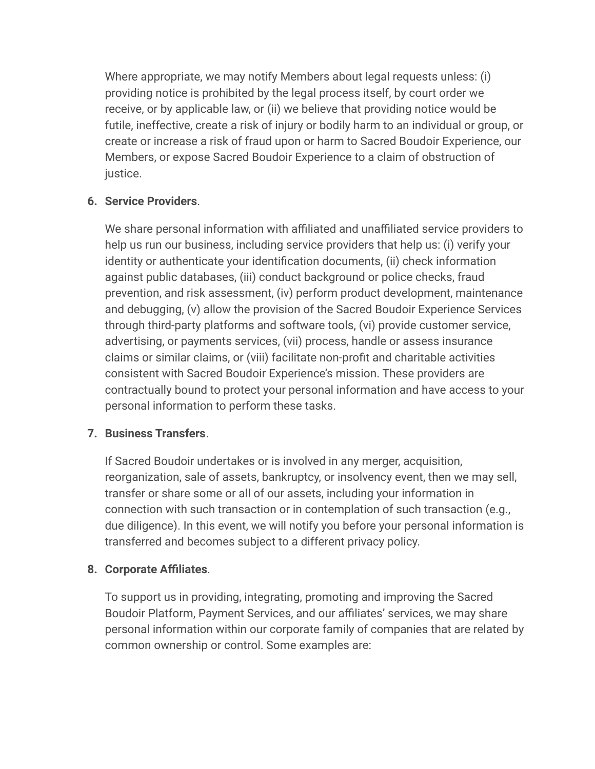Where appropriate, we may notify Members about legal requests unless: (i) providing notice is prohibited by the legal process itself, by court order we receive, or by applicable law, or (ii) we believe that providing notice would be futile, ineffective, create a risk of injury or bodily harm to an individual or group, or create or increase a risk of fraud upon or harm to Sacred Boudoir Experience, our Members, or expose Sacred Boudoir Experience to a claim of obstruction of justice.

### **6. Service Providers**.

We share personal information with affiliated and unaffiliated service providers to help us run our business, including service providers that help us: (i) verify your identity or authenticate your identification documents, (ii) check information against public databases, (iii) conduct background or police checks, fraud prevention, and risk assessment, (iv) perform product development, maintenance and debugging, (v) allow the provision of the Sacred Boudoir Experience Services through third-party platforms and software tools, (vi) provide customer service, advertising, or payments services, (vii) process, handle or assess insurance claims or similar claims, or (viii) facilitate non-profit and charitable activities consistent with Sacred Boudoir Experience's mission. These providers are contractually bound to protect your personal information and have access to your personal information to perform these tasks.

### **7. Business Transfers**.

If Sacred Boudoir undertakes or is involved in any merger, acquisition, reorganization, sale of assets, bankruptcy, or insolvency event, then we may sell, transfer or share some or all of our assets, including your information in connection with such transaction or in contemplation of such transaction (e.g., due diligence). In this event, we will notify you before your personal information is transferred and becomes subject to a different privacy policy.

### **8. Corporate Affiliates**.

To support us in providing, integrating, promoting and improving the Sacred Boudoir Platform, Payment Services, and our affiliates' services, we may share personal information within our corporate family of companies that are related by common ownership or control. Some examples are: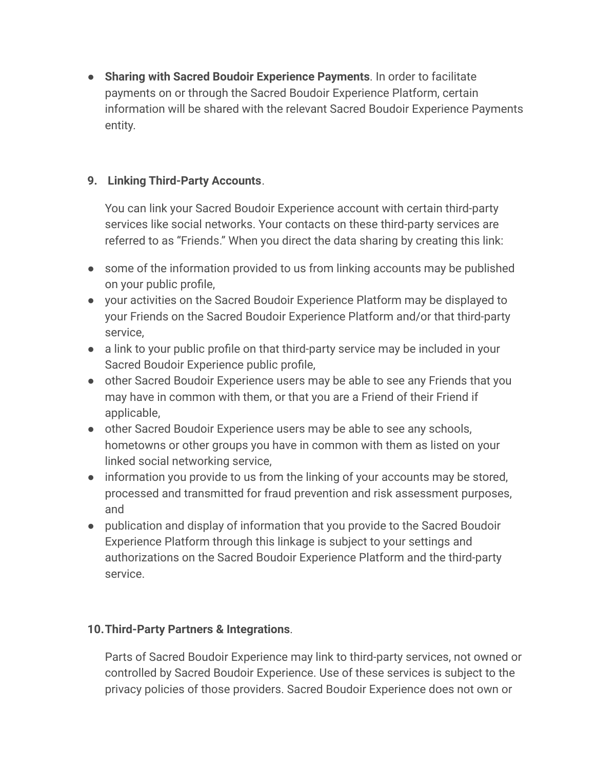● **Sharing with Sacred Boudoir Experience Payments**. In order to facilitate payments on or through the Sacred Boudoir Experience Platform, certain information will be shared with the relevant Sacred Boudoir Experience Payments entity.

### **9. Linking Third-Party Accounts**.

You can link your Sacred Boudoir Experience account with certain third-party services like social networks. Your contacts on these third-party services are referred to as "Friends." When you direct the data sharing by creating this link:

- some of the information provided to us from linking accounts may be published on your public profile,
- your activities on the Sacred Boudoir Experience Platform may be displayed to your Friends on the Sacred Boudoir Experience Platform and/or that third-party service,
- a link to your public profile on that third-party service may be included in your Sacred Boudoir Experience public profile,
- other Sacred Boudoir Experience users may be able to see any Friends that you may have in common with them, or that you are a Friend of their Friend if applicable,
- other Sacred Boudoir Experience users may be able to see any schools, hometowns or other groups you have in common with them as listed on your linked social networking service,
- information you provide to us from the linking of your accounts may be stored, processed and transmitted for fraud prevention and risk assessment purposes, and
- publication and display of information that you provide to the Sacred Boudoir Experience Platform through this linkage is subject to your settings and authorizations on the Sacred Boudoir Experience Platform and the third-party service.

### **10.Third-Party Partners & Integrations**.

Parts of Sacred Boudoir Experience may link to third-party services, not owned or controlled by Sacred Boudoir Experience. Use of these services is subject to the privacy policies of those providers. Sacred Boudoir Experience does not own or